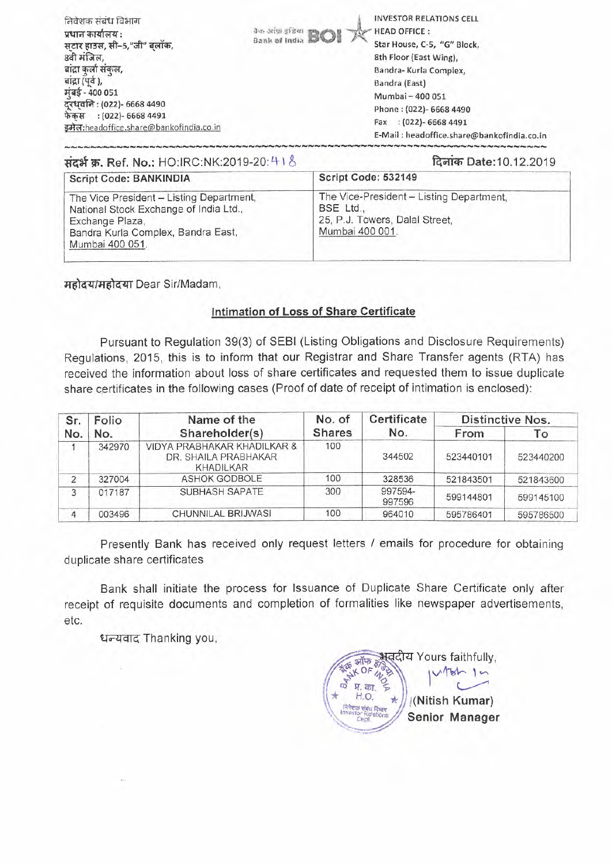| निवेशक संबंध विभाग<br>प्रधान कार्यालय :<br>सटार हाउस, सी-5,"जी" बलॉक,<br>8वी मंजिल,<br>बाद्रा कर्ला संकल,<br>बांद्रा (पूर्व),<br>मुंबई - 400 051<br>दूरध्वनिः (022)- 6668 4490<br>फेकस : (022)- 6668 4491<br>इमेल:headoffice.share@bankofindia.co.in | <b>INVESTOR RELATIONS CELL</b><br><b>Book of India BOI</b><br><b>HEAD OFFICE:</b><br>Star House, C-5, "G" Block,<br>8th Floor (East Wing),<br>Bandra- Kurla Complex,<br>Bandra (East)<br>Mumbai - 400 051<br>Phone: (022)- 6668 4490<br>$(022) - 66684491$<br>Fax<br>E-Mail: headoffice.share@bankofindia.co.in |
|------------------------------------------------------------------------------------------------------------------------------------------------------------------------------------------------------------------------------------------------------|-----------------------------------------------------------------------------------------------------------------------------------------------------------------------------------------------------------------------------------------------------------------------------------------------------------------|
|------------------------------------------------------------------------------------------------------------------------------------------------------------------------------------------------------------------------------------------------------|-----------------------------------------------------------------------------------------------------------------------------------------------------------------------------------------------------------------------------------------------------------------------------------------------------------------|

...<br>**संदर्भ क्र. Ref. No.:** HO:IRC:NK:2019-20: 41 8 **विलांक Date:10.12.2019** 

| Idelles Date: 10.12.2019                                                   |
|----------------------------------------------------------------------------|
|                                                                            |
| The Vice-President - Listing Department,<br>25, P.J. Towers, Dalal Street, |
|                                                                            |

महोदय/महोदया Dear Sir/Madam,

## **Intimation of Loss of Share Certificate**

Pursuant to Regulation 39(3) of SEBI (Listing Obligations and Disclosure Requirements) Regulations, 2015, this is to inform that our Registrar and Share Transfer agents (RTA) has received the information about loss of share certificates and requested them to issue duplicate share certificates in the following cases (Proof of date of receipt of intimation is enclosed):

| Folio<br>Sr.   | Name of the |                                                                         | Certificate   | <b>Distinctive Nos.</b> |           |           |
|----------------|-------------|-------------------------------------------------------------------------|---------------|-------------------------|-----------|-----------|
| No.            | No.         | Shareholder(s)                                                          | <b>Shares</b> | No.                     | From      | Гo        |
|                | 342970      | VIDYA PRABHAKAR KHADILKAR &<br>DR. SHAILA PRABHAKAR<br><b>KHADILKAR</b> | 100           | 344502                  | 523440101 | 523440200 |
| $\overline{2}$ | 327004      | ASHOK GODBOLE                                                           | 100           | 328536                  | 521843501 | 521843600 |
| 3              | 017187      | SUBHASH SAPATE                                                          | 300           | 997594-<br>997596       | 599144801 | 599145100 |
| 4              | 003496      | CHUNNILAL BRIJWASI                                                      | 100           | 964010                  | 595786401 | 595786500 |

Presently Bank has received only request letters / emails for procedure for obtaining duplicate share certificates

Bank shall initiate the process for Issuance of Duplicate Share Certificate only after receipt of requisite documents and completion of formalities like newspaper advertisements, etc.

धन्यवाद Thanking you,

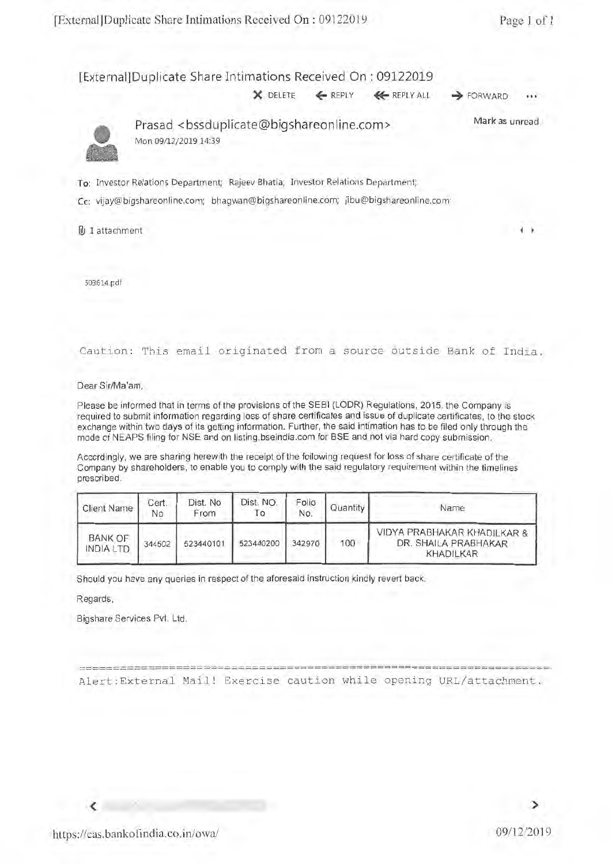[External] Duplicate Share Intimations Received On : 09122019

 $X$  DELETE  $\leftarrow$  REPLY  $\leftarrow$  REPLY ALL  $\rightarrow$  FORWARD



Prasad <bssduplicate@bigshareonline.com> Mon 09/12/2019 14:39 Mark as unread

To: Investor Relations Department; Rajeev Bhatia; Investor Relations Department;

Cc: vijay@bigshareonline.com; bhagwan@bigshareonline.com; jibu@bigshareonline.com;

B 1 attachment

503614.pdf

Caution: This email originated from a source outside Bank of India.

Dear Sir/Ma'am,

Please be informed that in terms of the provisions of the SEBI (LODR) Regulations, 2015, the Company is required to submit information regarding loss of share certificates and issue of duplicate certificates, to the stock exchange within two days of its getting information. Further, the said intimation has to be filed only through the mode of NEAPS filing for NSE and on listing.bseindia.com for BSE and not via hard copy submission.

Accordingly, we are sharing herewith the receipt of the following request for loss of share certificate of the Company by shareholders, to enable you to comply with the said regulatory requirement within the timelines prescribed.

| Client Name                        | Cert.<br>No | Dist. No<br>From | Dist. NO.<br>10 | Folio<br>No. | Quantity I | Name                                                             |
|------------------------------------|-------------|------------------|-----------------|--------------|------------|------------------------------------------------------------------|
| <b>BANK OF</b><br><b>INDIA LTD</b> | 344502      | 523440101        | 523440200       | 342970       | 100        | VIDYA PRABHAKAR KHADILKAR &<br>DR. SHAILA PRABHAKAR<br>KHADILKAR |

Should you have any queries in respect of the aforesaid instruction kindly revert back.

Regards,

Bigshare Services Pvt. Ltd.

================================================================• Alert:External Mail! Exercise caution while opening URL/attachment.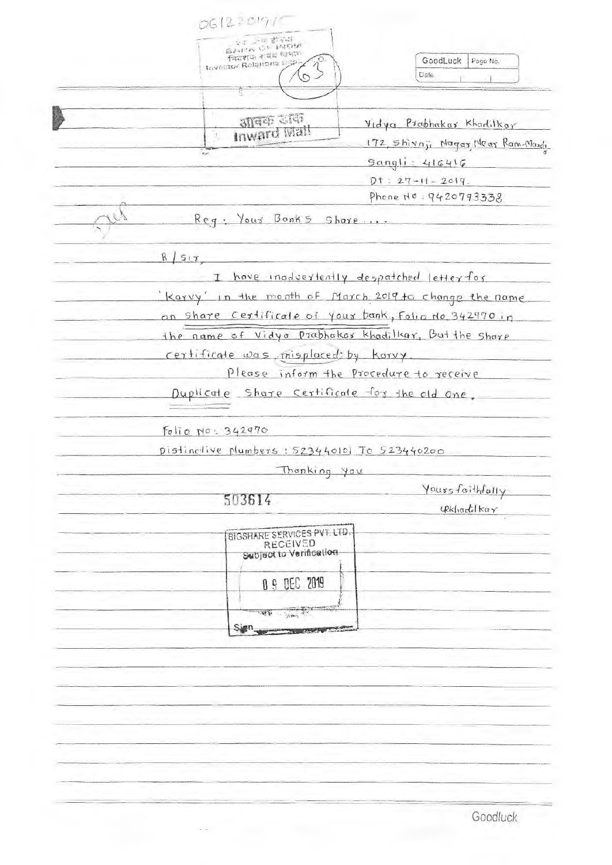| <b>BANCO CA INGLA</b><br>नियशक शबंध धन्नार<br>GoodLuck<br>Page No.<br>Investor Relations age<br>Date<br>আৰক্ষ তাক<br>Vidya Prabhakar Khadilkar<br>Inward Mail<br>Y,<br>172, Shiraji Nagas Near Ram Mardi<br>Sangli: 416416<br>$Dt = 27 - 11 - 2019$<br>Phone No: 9420793338<br>Reg: Your Bonks Share<br>R/s17<br>have inadvertently despatched letter for<br>T<br>Karry in the month of March 2019 to change the name<br>on share certificate of your bank, Folio No. 342970 in<br>the name of Vidyo Prabhakas khadilkar, But the share<br>certificate was misplaced by karry.<br>Please inform the procedure to receive<br>Duplicate Share certificate for the old one,<br>$Fo$ lio $No$ : 342470<br>pistinctive plumbers : 523440101 To 523440200<br>Thonking you<br>Yoursfaithfully<br>503614<br>$4Rk$ hadilkar<br>BIGSHARE SERVICES PVT. LTD.<br><b>RECEIVED</b> | 061220191'' |  |
|----------------------------------------------------------------------------------------------------------------------------------------------------------------------------------------------------------------------------------------------------------------------------------------------------------------------------------------------------------------------------------------------------------------------------------------------------------------------------------------------------------------------------------------------------------------------------------------------------------------------------------------------------------------------------------------------------------------------------------------------------------------------------------------------------------------------------------------------------------------------|-------------|--|
|                                                                                                                                                                                                                                                                                                                                                                                                                                                                                                                                                                                                                                                                                                                                                                                                                                                                      |             |  |
|                                                                                                                                                                                                                                                                                                                                                                                                                                                                                                                                                                                                                                                                                                                                                                                                                                                                      |             |  |
|                                                                                                                                                                                                                                                                                                                                                                                                                                                                                                                                                                                                                                                                                                                                                                                                                                                                      |             |  |
|                                                                                                                                                                                                                                                                                                                                                                                                                                                                                                                                                                                                                                                                                                                                                                                                                                                                      |             |  |
|                                                                                                                                                                                                                                                                                                                                                                                                                                                                                                                                                                                                                                                                                                                                                                                                                                                                      |             |  |
|                                                                                                                                                                                                                                                                                                                                                                                                                                                                                                                                                                                                                                                                                                                                                                                                                                                                      |             |  |
|                                                                                                                                                                                                                                                                                                                                                                                                                                                                                                                                                                                                                                                                                                                                                                                                                                                                      |             |  |
|                                                                                                                                                                                                                                                                                                                                                                                                                                                                                                                                                                                                                                                                                                                                                                                                                                                                      |             |  |
|                                                                                                                                                                                                                                                                                                                                                                                                                                                                                                                                                                                                                                                                                                                                                                                                                                                                      |             |  |
|                                                                                                                                                                                                                                                                                                                                                                                                                                                                                                                                                                                                                                                                                                                                                                                                                                                                      |             |  |
|                                                                                                                                                                                                                                                                                                                                                                                                                                                                                                                                                                                                                                                                                                                                                                                                                                                                      |             |  |
|                                                                                                                                                                                                                                                                                                                                                                                                                                                                                                                                                                                                                                                                                                                                                                                                                                                                      |             |  |
|                                                                                                                                                                                                                                                                                                                                                                                                                                                                                                                                                                                                                                                                                                                                                                                                                                                                      |             |  |
|                                                                                                                                                                                                                                                                                                                                                                                                                                                                                                                                                                                                                                                                                                                                                                                                                                                                      |             |  |
|                                                                                                                                                                                                                                                                                                                                                                                                                                                                                                                                                                                                                                                                                                                                                                                                                                                                      |             |  |
|                                                                                                                                                                                                                                                                                                                                                                                                                                                                                                                                                                                                                                                                                                                                                                                                                                                                      |             |  |
|                                                                                                                                                                                                                                                                                                                                                                                                                                                                                                                                                                                                                                                                                                                                                                                                                                                                      |             |  |
|                                                                                                                                                                                                                                                                                                                                                                                                                                                                                                                                                                                                                                                                                                                                                                                                                                                                      |             |  |
|                                                                                                                                                                                                                                                                                                                                                                                                                                                                                                                                                                                                                                                                                                                                                                                                                                                                      |             |  |
|                                                                                                                                                                                                                                                                                                                                                                                                                                                                                                                                                                                                                                                                                                                                                                                                                                                                      |             |  |
| Subject to Verification                                                                                                                                                                                                                                                                                                                                                                                                                                                                                                                                                                                                                                                                                                                                                                                                                                              |             |  |
|                                                                                                                                                                                                                                                                                                                                                                                                                                                                                                                                                                                                                                                                                                                                                                                                                                                                      |             |  |
| <b>0 9 DEC 2019</b>                                                                                                                                                                                                                                                                                                                                                                                                                                                                                                                                                                                                                                                                                                                                                                                                                                                  |             |  |
| THE SILVER OF THE CONTROL                                                                                                                                                                                                                                                                                                                                                                                                                                                                                                                                                                                                                                                                                                                                                                                                                                            |             |  |
| Sign_                                                                                                                                                                                                                                                                                                                                                                                                                                                                                                                                                                                                                                                                                                                                                                                                                                                                |             |  |
|                                                                                                                                                                                                                                                                                                                                                                                                                                                                                                                                                                                                                                                                                                                                                                                                                                                                      |             |  |
|                                                                                                                                                                                                                                                                                                                                                                                                                                                                                                                                                                                                                                                                                                                                                                                                                                                                      |             |  |
|                                                                                                                                                                                                                                                                                                                                                                                                                                                                                                                                                                                                                                                                                                                                                                                                                                                                      |             |  |
|                                                                                                                                                                                                                                                                                                                                                                                                                                                                                                                                                                                                                                                                                                                                                                                                                                                                      |             |  |
|                                                                                                                                                                                                                                                                                                                                                                                                                                                                                                                                                                                                                                                                                                                                                                                                                                                                      |             |  |
|                                                                                                                                                                                                                                                                                                                                                                                                                                                                                                                                                                                                                                                                                                                                                                                                                                                                      |             |  |
|                                                                                                                                                                                                                                                                                                                                                                                                                                                                                                                                                                                                                                                                                                                                                                                                                                                                      |             |  |
|                                                                                                                                                                                                                                                                                                                                                                                                                                                                                                                                                                                                                                                                                                                                                                                                                                                                      |             |  |
|                                                                                                                                                                                                                                                                                                                                                                                                                                                                                                                                                                                                                                                                                                                                                                                                                                                                      |             |  |
| Goodluck                                                                                                                                                                                                                                                                                                                                                                                                                                                                                                                                                                                                                                                                                                                                                                                                                                                             |             |  |

 $\mathbb{R}^{d-1}$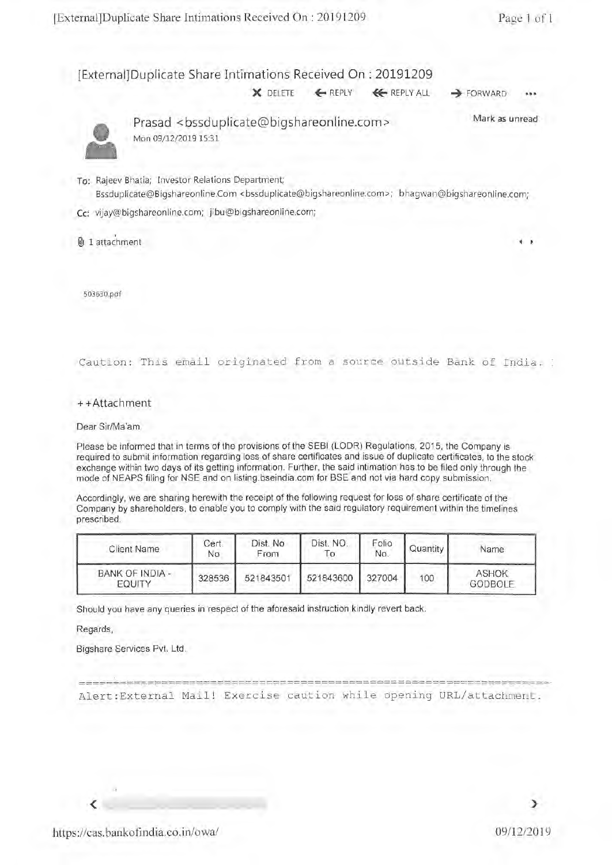[External]Duplicate Share Intimations Received On : 20191209

X DELETE <— REPLY 4€REPLY ALL **4** FORWARD •••



Prasad <bssduplicate@bigshareonline.com> Mark as unread Mon 09/12/2019 15:31

- To: Rajeev Bhatia; Investor Relations Department; Bssduplicate@Bigshareonline.Com <bssduplicate@bigshareonline.com>; bhagwan@bigshareonline.com;
- Cc: vijay@bigshareonline.com; jibu©bigshareonline.com;

1 attachment

503630.0f

Caution: This email originated from a source outside Bank of India.

++Attachment

Dear Sir/Ma'am,

Please be informed that in terms of the provisions of the SEBI (LODR) Regulations, 2015, the Company is required to submit information regarding loss of share certificates and issue of duplicate certificates, to the stock exchange within two days of its getting information. Further, the said intimation has to be filed only through the mode of NEAPS filing for NSE and on listing.bseindia.com for BSE and not via hard copy submission.

Accordingly, we are sharing herewith the receipt of the following request for loss of share certificate of the Company by shareholders, to enable you to comply with the said regulatory requirement within the timelines prescribed.

| <b>Client Name</b>        | Cert.<br>No | Dist. No<br>From | Dist. NO.<br>$\circ$ | Folio<br>No. | Quantity | Name                           |
|---------------------------|-------------|------------------|----------------------|--------------|----------|--------------------------------|
| BANK OF INDIA -<br>EQUITY | 328536      | 521843501        | 521843600            | 327004       | 100      | <b>ASHOK</b><br><b>GODBOLF</b> |

Should you have any queries in respect of the aforesaid instruction kindly revert back.

----------------------------------

Regards,

Bigshare Services Pvt. Ltd.

Alert:External Mail! Exercise caution while opening URL/attachment.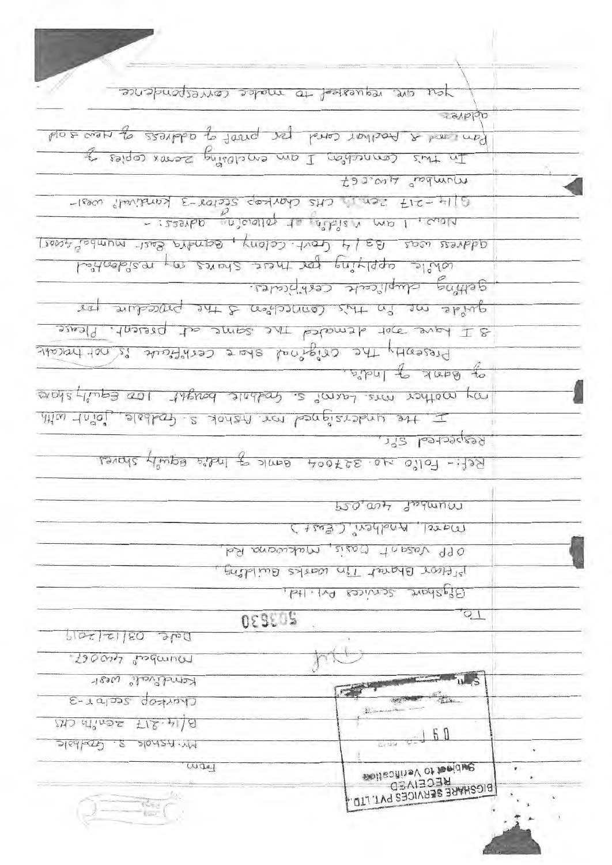| you are requested to make correspondence                 |                                               |    |
|----------------------------------------------------------|-----------------------------------------------|----|
|                                                          | appp                                          |    |
| bio & a modifier cond proposed problems of new soil      |                                               |    |
| In this connection I am enclosing zeros sopies of        |                                               |    |
|                                                          | Munder Lineset                                |    |
| 3 14 -217 Zen, i CHS Charles Sector 5 Kindishali west    |                                               |    |
| - izzonbo intivista de polonome advers -                 |                                               |    |
| address was B3/4 Govt. Colony, Bendra Bast-mumber24005]  |                                               |    |
|                                                          |                                               |    |
| cohile cepplying for these shares in residential         |                                               |    |
|                                                          | getting duplicate cestificates.               |    |
| quide ne in this competition & the procedure por         |                                               |    |
| 3 Lawe are demoded the same at present. Please           |                                               |    |
| Presently the original shore certificate is not tracedic |                                               |    |
|                                                          | $\sigma_F$ $Bd\Omega K \rightarrow$ Indee.    |    |
| on nother mis Laims s. Goodbolt bought 100 Equily share  |                                               |    |
|                                                          |                                               |    |
|                                                          |                                               |    |
| this trial sleebert saiden ren benefiziehen est. I       |                                               |    |
|                                                          | Respected S.r.                                |    |
| Ref :- Follo no 327004 Bank of Inde Bquilt shores.       |                                               |    |
|                                                          | projout function                              |    |
|                                                          |                                               |    |
|                                                          | C+203) Productive CE061                       |    |
|                                                          | OPP Vasant Oasis, Makwama Rol                 |    |
|                                                          | preject Bharat Tin warks Buildfing            |    |
|                                                          | Bigshare services Dri. Itd.                   |    |
| 203030                                                   | $Q_1$                                         |    |
| $5102$ $2180$ $310$                                      |                                               |    |
| Munder froger                                            |                                               |    |
| Kennelsvall <sup>e</sup> west                            | $\frac{1}{s}$                                 |    |
| C-ratos gostron                                          |                                               |    |
|                                                          |                                               |    |
| $25.41$ at $25.41$ at $25.4$                             | 60                                            |    |
| $3168625 - 8$<br>20127.11                                | 5113                                          |    |
| way                                                      | subjection verifications                      | ٧. |
|                                                          | <b>Q3VISO3R</b><br>BIGSHARE SERVICES PVT.LTD. |    |

Charles Co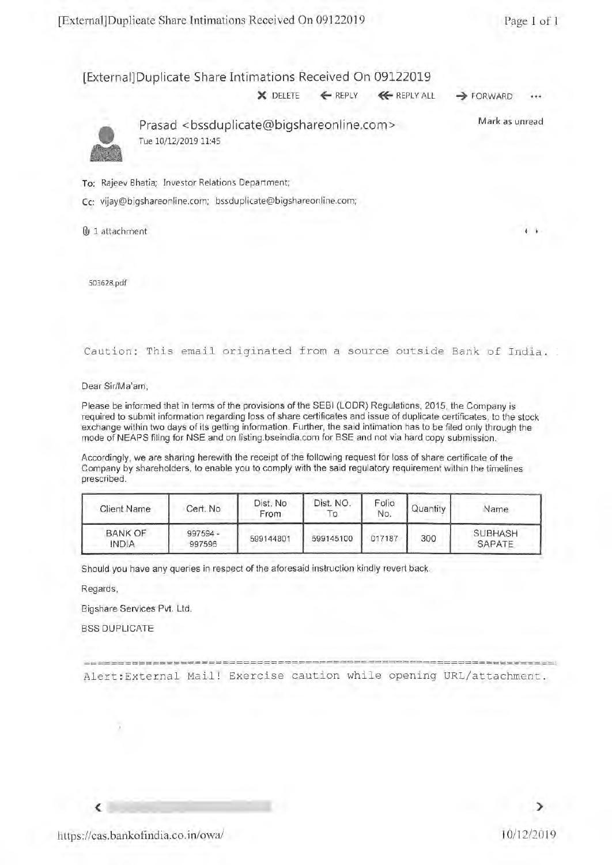#### [External] Duplicate Share Intimations Received On 09122019

 $\times$  DELETE  $\leftarrow$  REPLY  $\leftarrow$  REPLY ALL  $\rightarrow$  FORWARD



Prasad <bssduplicate@bigshareonline.com> Tue 10/12/2019 11:45 Mark as unread

To: Rajeev Bhatia; Investor Relations Department;

Cc: vijay@bigshareonline.com; bssduplicate@bigshareonline.com;

@J 1 attachment

503628.pdf

Caution: This email originated from a source outside Bank of India.

Dear Sir/Ma'am,

Please be informed that in terms of the provisions of the SEBI (LODR) Regulations, 2015, the Company is required to submit information regarding loss of share certificates and issue of duplicate certificates, to the stock exchange within two days of its getting information. Further, the said intimation has to be filed only through the mode of NEAPS filing for NSE and on listing.bseindia.com for BSE and not via hard copy submission.

Accordingly, we are sharing herewith the receipt of the following request for loss of share certificate of the Company by shareholders, to enable you to comply with the said regulatory requirement within the timelines prescribed.

| <b>Client Name</b>             | Cert. No             | Dist. No<br>From | Dist. NO.<br>10 | Folio<br>No. | Quantity | Name                     |
|--------------------------------|----------------------|------------------|-----------------|--------------|----------|--------------------------|
| <b>BANK OF</b><br><b>INDIA</b> | $997594 -$<br>997596 | 599144801        | 599145100       | 017187       | 300      | <b>SUBHASH</b><br>SAPATE |

Should you have any queries in respect of the aforesaid instruction kindly revert back.

Regards,

Bigshare Services Pvt. Ltd.

BSS DUPLICATE

---------- ======= Alert:External Mail! Exercise caution while opening URL/attachment.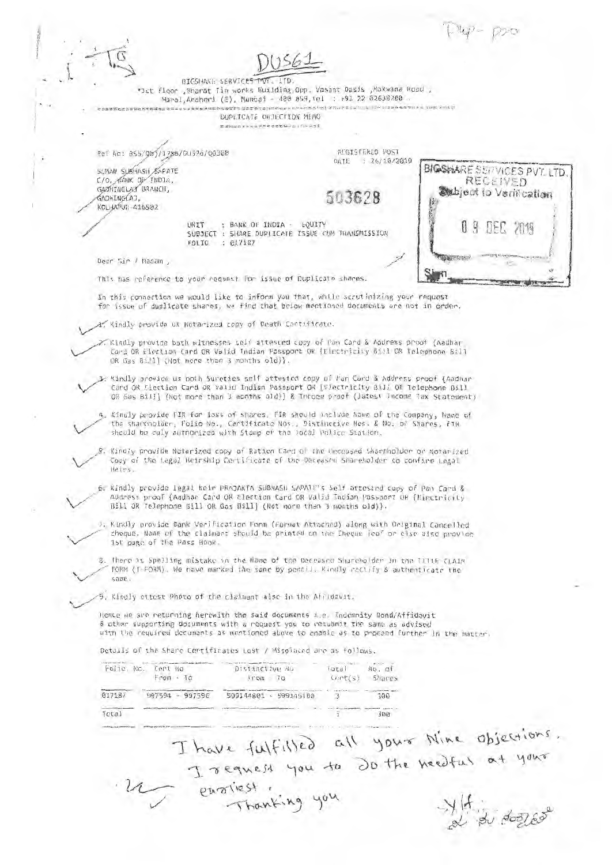$T_{4} - \rho_{20}$ 

BIGSHARE SERVICES PVT. LTD. '1st floor ,Bharat Tin works Building,Opp. Vasant Oasis ,Makwana Road , Marol,Andheri (E), Mumbai - 400 059,1el : +91 22 62638200 .

DUPLICATE OBJECTION MEMO

Ref No: BSS/Qbj/1786/DU526/Q0308 REGISTERED POST

SUMAN SUBHASH SAPATE C/O. ANK OP/IND1A, GADHINGLAJ BRANCH, **GADHTNG AT** KOLHAPUR-416502

DATE : 26/10/2019

503628

UNIT : BANK OF INDIA - EQUITY SUBJECT : SHARE DUPLICATE ISSUE CUM TRANSMISSION : 017187



Dear Sir I Madam ,

 $\vee$ 

This has reference to your request: For issue of Duplicate shares.

In this connection we would like to inform you that, while scrutinizing your request for issue of duplicate shares, we find that below mentioned documents are not in order..

Kindly provide us Notarized copy of Death Certificate.

 $\sim$ Kindly provide both witnesses self attested copy of Pan Card & Address proof {Aadhar<br>Card OR Election Card OR Valid Indian Passport OR [Electricity Bill OR Telephone Bill OR Gas Bill] (Not more than 3 months old)).

Kindly provide us both Sureties self attested copy of Pan Card & Address proof {Aadhar Card OR Election Card OR Valid Indian Passport OR [Electricity Bill, OR Telephone Bill OR Gas Bill] (Not more than 3 months old)) & Inconm proof (latest Income Tax Statement),

4. Kindly provide FIR for loss of shares. FIR should include Name of the Company, Name of the shareholder, Folio No., Certificate Nos., Distinctive Nos. & No. of Shares, FIR should be duly authorized with Stamp of the local. Police Station.

:Kindly provide Notarized copy of Ration Card of the Deceased Shareholder or Notarized Copy of the Legal Heirship Certificate of the Deceased Shareholder to confirm Legal Heirs.

64 Kindly provide legal heir PRAJAKTA SUBHASH SAPATE's Self attested copy of Pan Card & Address proof (Aadhar Card OR Election Card OR Valid Indian Passport OR (Electricity Bill OR Telephone Bill OR Gas Bill] (Not more than 3 months old)).

7. Kindly provide Bank Verification Form (Format Attached) along with Original. Cancelled cheque. Name of the claimant should be printed on the Cheque leaf or else also provide 1st page of the Pass Book.

8. There is Spelling mistake in the Name of the Deceased Shareholder in the TITLE CLAIM FORM (t-FORM). We have marked the same by pencil. Kindly rectify & authenticate the same.

9. Kindly attest Photo of the claimant also in the Affidavit.

Hence we are returning herewith the said documents i.e. Indemnity Bond/Affidavit & other supporting documents with a request you to resubmit the same as advised with the required documents as mentioned above to enable us to proceed further in the matter.

Details of the Share Certificates Lost / Misplaced are as follows.

|        | Folic, No. Cent No<br>$From - To$ | a company was the foreign to the total index of<br>Distinctive No<br>$1$ rom $-10$ | $  \partial L \partial  $<br>Cort(s) | $NO.$ $OI$<br>Shares |
|--------|-----------------------------------|------------------------------------------------------------------------------------|--------------------------------------|----------------------|
| 017187 | 997594 - 997596                   | 599144801 - 599145100                                                              |                                      | 300                  |
| Total  |                                   |                                                                                    |                                      | 300                  |

you to Do the needful at your  $\overline{u}$  ensingting you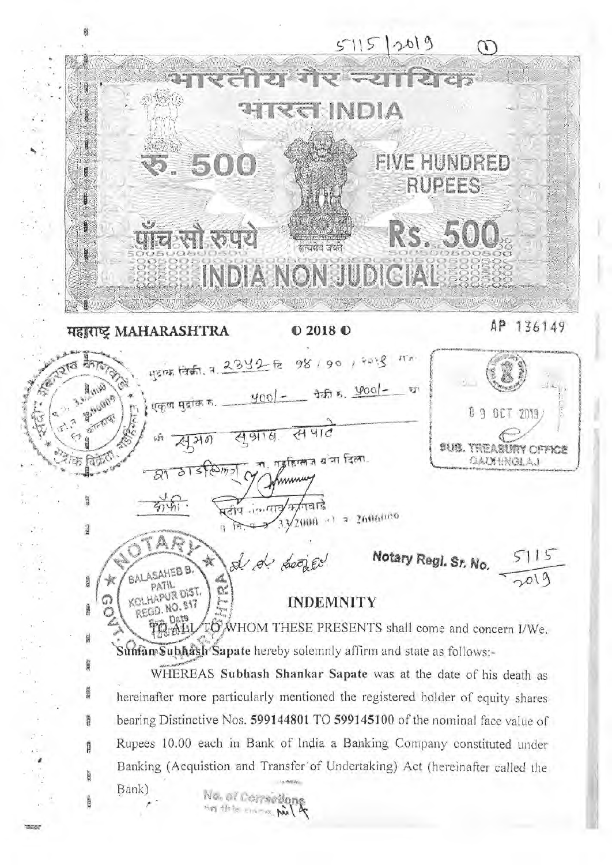$5115 |2019$ HNDIA  $\mathcal{E}^{\text{tr}}(k)$ **FIVE HUNDRED** 500 **RUPEES** RS. 500 पाचली रुपये सायमेव जयने xxx INDIANONSUDIGIAL 136149 AP महाराष्ट्र MAHARASHTRA  $02018$ <sup> $\odot$ </sup> 1312 134 13 1 2 3 4 2 1 2 98 1 90 1 2018  $H \times$ 400/- +++ 5. 400/- $\mathbb{Q}_{\ell,\mu}$ ा रहा Struction एकृण मुद्रांक क.  $09$ OCT 2019 सपाट स आ है.  $A$ 210 sus. Treasury office ता, गङ्गहिल्लज बांचा दिला. GADHRGLAJ aTstamin B.D 石山  $\sqrt{2000}$  a) = 2606020 i3 search d d doored Notary Regl. Sr. No. 5115 BALASAHEB B. **SEED** KOLHAPUR DIST. **INDEMNITY** G REGD. NO. 817 **CORP** O TO WHOM THESE PRESENTS shall come and concern I/We. H Suman Subhash Sapate hereby solemnly affirm and state as follows:-WHEREAS Subhash Shankar Sapate was at the date of his death as am hereinafter more particularly mentioned the registered holder of equity shares bearing Distinctive Nos. 599144801 TO 599145100 of the nominal face value of R Rupees 10.00 each in Bank of India a Banking Company constituted under Banking (Acquistion and Transfer of Undertaking) Act (hereinafter called the n. Bank) No. of Competions xxx

**STAND**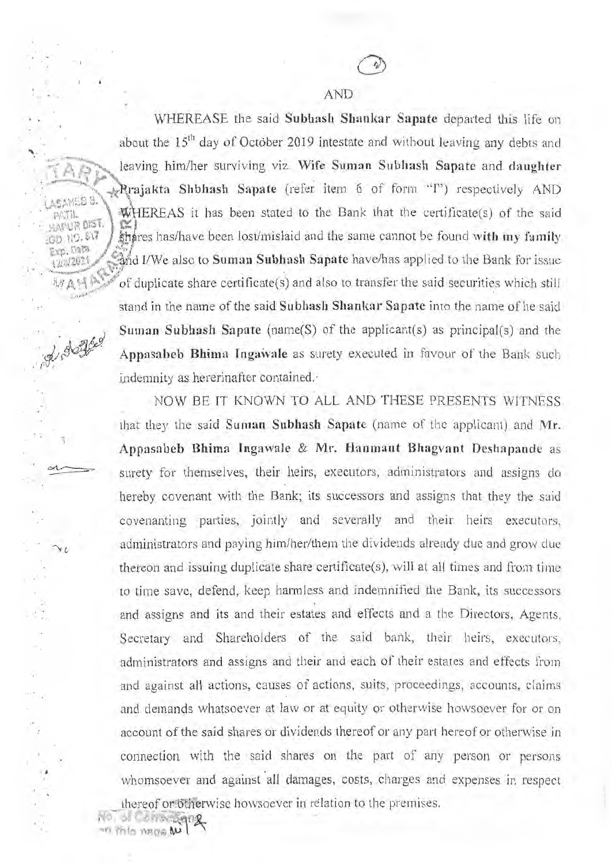and I/We also to Suman Subhash Sapate have/has applied to the Bank for issue  $\mathbb{R}^n$  of duplicate share certificate(s) and also to transfer the said securities which still stand in the name of the said Subhash Shankar Sapate into the name of he said Suman Subhash Sapate (name(S) of the applicant(s) as principal(s) and the Appasabeb Bhima Ingawale as surety executed in favour of the Bank such indemnity as hererinafter contained. WHEREASE the said Subhash Shankar Sapate departed this life on about the  $15<sup>th</sup>$  day of October 2019 intestate and without leaving any debts and leaving him/her surviving viz. Wife Suman Subhash Sapate and daughter  $\blacktriangleright$ Prajakta Shbhash Sapate (refer item 6 of form "I") respectively AND WHEREAS it has been stated to the Bank that the certificate(s) of the said shares has/have been lost/mislaid and the same cannot be found with my family

> NOW BE IT KNOWN TO ALL AND THESE PRESENTS WITNESS that they the said Suman Subhash Sapate (name of the applicant) and Mr. Appasabeb Bhima Ingawale & Mr. Hanmant Bhagvant Deshapande as surety for themselves, their heirs, executors, administrators and assigns do hereby covenant with the Bank; its successors and assigns that they the said covenanting parties, jointly and severally and their heirs executors, administrators and paying him/her/them the dividends already due and grow due thereon and issuing duplicate share certificate $(s)$ , will at all times and from time to time save, defend, keep harmless and indemnified the Bank, its successors and assigns and its and their estates and effects and a the Directors, Agents, Secretary and Shareholders of the said bank, their heirs, executors, administrators and assigns and their and each of their estates and effects from and against all actions, causes of actions, suits, proceedings, accounts, claims and demands whatsoever at law or at equity or otherwise howsoever for or on account of the said shares or dividends thereof or any part hereof or otherwise in connection with the said shares on the part of any person or persons whomsoever and against all damages, costs, charges and expenses in respect

thereof or Otherwise howsoever in relation to the premises.

• .

SAHEB .

PAM JI.APUR DtST, S;D. NO. S17 • Exp. Dar; /

of dogged

<sup>111.</sup> This mage **w**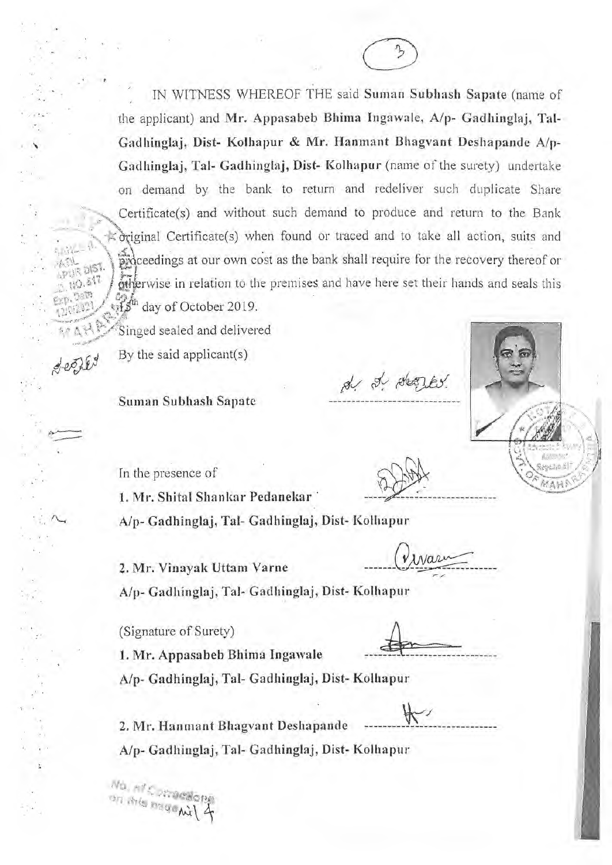IN WITNESS WHEREOF THE said Suman Subhash Sapate (name of the applicant) and Mr. Appasabeb Bhima Ingawale, A/p- Gadhinglaj, Tal-Gadhinglaj, Dist- Kolhapur & Mr. Hanmant Bhagvant Deshapande A/p-Gadhinglaj, Tai- Gadhinglaj, Dist- Kolhapur (name of the surety) undertake on demand by the bank to return and redeliver such duplicate Share Certificate(s) and without such demand to produce and return to the Bank Certificate(s) when found or traced and to take all action, suits and proceedings at our own cost as the bank shall require for the recovery thereof or rwise in relation to the premises and have here set their hands and seals this day of October 2019.

`Singed sealed and delivered

By the said applicant(s)

 $8 - 58$ 

Suman Subhash Sapate

In the presence of

1. Mr. Shital Shankar Pedanekar

1. Mr. Appasabeb Bhima Ingawale

Alp- Gadhinglaj, Tal- Gadhinglaj, Dist- Kolhapur

2. Mr. Vinayak Uttam Varne

INarn

de de deques.

A/p- Gadhinglaj, Gadhinglaj, Dist- Kolhapur

(Signature of Surety)

Alp- Gadhinglaj, Gadhinglaj, Dist- Kolhapur

2. Mr. Hanmant Bhagvant Deshapande A/p- Gadhinglaj, Tal- Gadhinglaj, Dist- Kolhapur

No. at Competition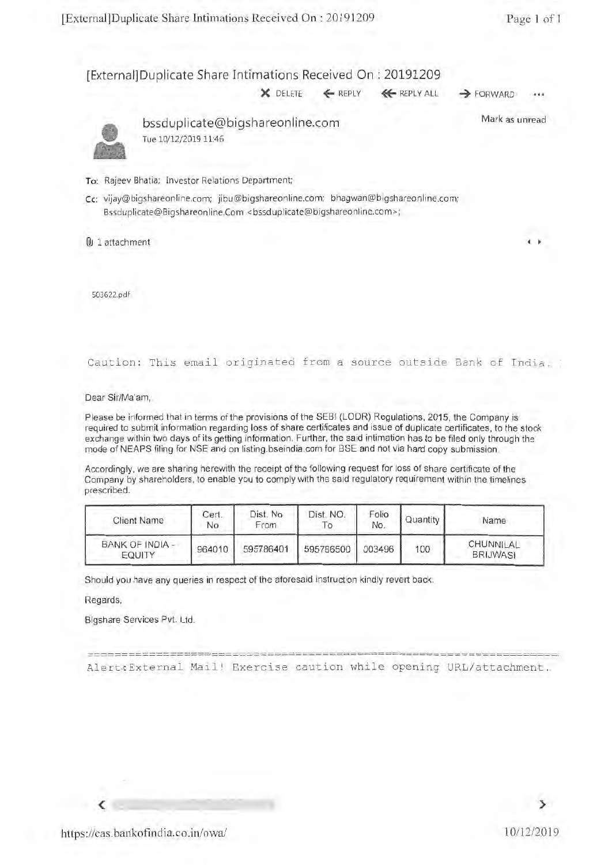### [External] Duplicate Share Intimations Received On : 20191209

**X DELETE**  $\leftarrow$  **REPLY**  $\leftarrow$  **REPLY ALL**  $\rightarrow$  **FORWARD** 



bssduplicate@bigshareonline.com Tue 10/12/2019 11:46

Mark as unread

#### To: Rajeev Bhatia; Investor Relations Department;

Cc: vijay@bigshareonline.com; jibu@bigshareonline.com; bhagwan@bigshareonline.com; Bssduplicate@Bigshareonline.Com <br/>bssduplicate@bigshareonline.com>;

 $\mathbb Q$  1 attachment International International International International International International International International International International International International International International Inter

503622.pdf

Caution: This email originated from a source outside Bank of India.

Dear Sir/Ma'am,

Please be informed that in terms of the provisions of the SEBI (LODR) Regulations, 2015, the Company is required to submit information regarding loss of share certificates and issue of duplicate certificates, to the stock exchange within two days of its getting information. Further, the said intimation has to be filed only through the mode of NEAPS filing for NSE and on listing.bseindia.com for BSE and not via hard copy submission.

Accordingly, we are sharing herewith the receipt of the following request for loss of share certificate of the Company by shareholders, to enable you to comply with the said regulatory requirement within the timelines prescribed.

| <b>Client Name</b>        | Cert.<br>No | Dist. No<br>From | Dist. NO. | Folio<br>No. | Quantity | Name                         |
|---------------------------|-------------|------------------|-----------|--------------|----------|------------------------------|
| BANK OF INDIA -<br>EQUITY | 964010      | 595786401        | 595786500 | 003496       | 100      | CHUNNILAL<br><b>BRIJWASI</b> |

Should you have any queries in respect of the aforesaid instruction kindly revert back.

Regards,

Bigshare Services Pvt. Ltd.

Alert:External Mail! Exercise caution while opening URL/attachment.